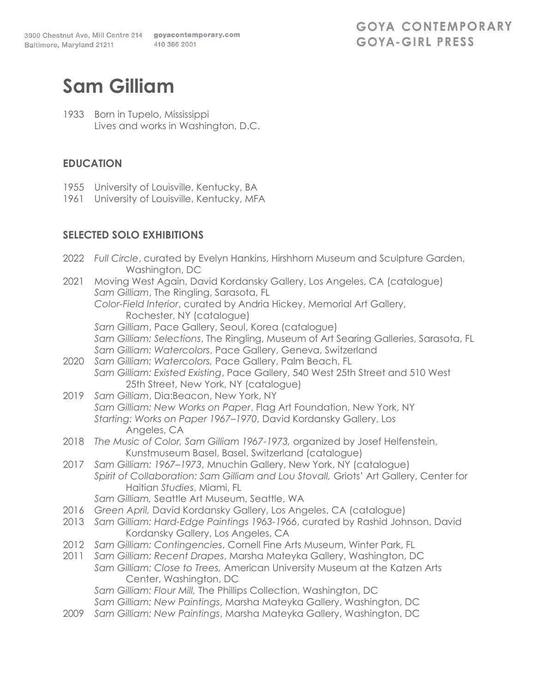# **Sam Gilliam**

1933 Born in Tupelo, Mississippi Lives and works in Washington, D.C.

#### **EDUCATION**

- 1955 University of Louisville, Kentucky, BA
- 1961 University of Louisville, Kentucky, MFA

## **SELECTED SOLO EXHIBITIONS**

|              | 2022 Full Circle, curated by Evelyn Hankins, Hirshhorn Museum and Sculpture Garden,<br>Washington, DC                                       |
|--------------|---------------------------------------------------------------------------------------------------------------------------------------------|
| 2021         | Moving West Again, David Kordansky Gallery, Los Angeles, CA (catalogue)                                                                     |
|              | Sam Gilliam, The Ringling, Sarasota, FL                                                                                                     |
|              | Color-Field Interior, curated by Andria Hickey, Memorial Art Gallery,                                                                       |
|              | Rochester, NY (catalogue)                                                                                                                   |
|              | Sam Gilliam, Pace Gallery, Seoul, Korea (catalogue)                                                                                         |
|              | Sam Gilliam: Selections, The Ringling, Museum of Art Searing Galleries, Sarasota, FL                                                        |
|              | Sam Gilliam: Watercolors, Pace Gallery, Geneva, Switzerland                                                                                 |
| 2020         | Sam Gilliam: Watercolors, Pace Gallery, Palm Beach, FL                                                                                      |
|              | Sam Gilliam: Existed Existing, Pace Gallery, 540 West 25th Street and 510 West                                                              |
| 2019         | 25th Street, New York, NY (catalogue)<br>Sam Gilliam, Dia:Beacon, New York, NY                                                              |
|              | Sam Gilliam: New Works on Paper, Flag Art Foundation, New York, NY                                                                          |
|              | Starting: Works on Paper 1967-1970, David Kordansky Gallery, Los                                                                            |
|              | Angeles, CA                                                                                                                                 |
| 2018         | The Music of Color, Sam Gilliam 1967-1973, organized by Josef Helfenstein,                                                                  |
|              | Kunstmuseum Basel, Basel, Switzerland (catalogue)                                                                                           |
| 2017         | Sam Gilliam: 1967–1973, Mnuchin Gallery, New York, NY (catalogue)                                                                           |
|              | Spirit of Collaboration: Sam Gilliam and Lou Stovall, Griots' Art Gallery, Center for                                                       |
|              | Haitian Studies, Miami, FL                                                                                                                  |
|              | Sam Gilliam, Seattle Art Museum, Seattle, WA                                                                                                |
| 2016         | Green April, David Kordansky Gallery, Los Angeles, CA (catalogue)                                                                           |
| 2013         | Sam Gilliam: Hard-Edge Paintings 1963-1966, curated by Rashid Johnson, David                                                                |
|              | Kordansky Gallery, Los Angeles, CA                                                                                                          |
| 2012<br>2011 | Sam Gilliam: Contingencies, Cornell Fine Arts Museum, Winter Park, FL<br>Sam Gilliam: Recent Drapes, Marsha Mateyka Gallery, Washington, DC |
|              | Sam Gilliam: Close to Trees, American University Museum at the Katzen Arts                                                                  |
|              | Center, Washington, DC                                                                                                                      |
|              | Sam Gilliam: Flour Mill, The Phillips Collection, Washington, DC                                                                            |
|              | Sam Gilliam: New Paintings, Marsha Mateyka Gallery, Washington, DC                                                                          |
| 2009         | Sam Gilliam: New Paintings, Marsha Mateyka Gallery, Washington, DC                                                                          |
|              |                                                                                                                                             |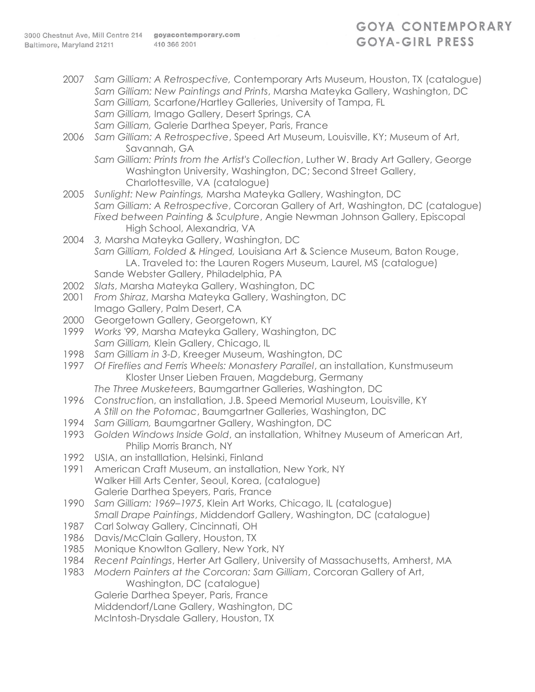# **GOYA CONTEMPORARY** GOYA-GIRL PRESS

2007 *Sam Gilliam: A Retrospective,* Contemporary Arts Museum, Houston, TX (catalogue) *Sam Gilliam: New Paintings and Prints*, Marsha Mateyka Gallery, Washington, DC *Sam Gilliam,* Scarfone/Hartley Galleries, University of Tampa, FL *Sam Gilliam,* Imago Gallery, Desert Springs, CA *Sam Gilliam,* Galerie Darthea Speyer, Paris, France 2006 *Sam Gilliam: A Retrospective*, Speed Art Museum, Louisville, KY; Museum of Art, Savannah, GA *Sam Gilliam: Prints from the Artist's Collection*, Luther W. Brady Art Gallery, George Washington University, Washington, DC; Second Street Gallery, Charlottesville, VA (catalogue) 2005 *Sunlight: New Paintings,* Marsha Mateyka Gallery, Washington, DC *Sam Gilliam: A Retrospective*, Corcoran Gallery of Art, Washington, DC (catalogue) *Fixed between Painting & Sculpture*, Angie Newman Johnson Gallery, Episcopal High School, Alexandria, VA 2004 *3,* Marsha Mateyka Gallery, Washington, DC *Sam Gilliam, Folded & Hinged,* Louisiana Art & Science Museum, Baton Rouge, LA. Traveled to: the Lauren Rogers Museum, Laurel, MS (catalogue) Sande Webster Gallery, Philadelphia, PA 2002 *Slats*, Marsha Mateyka Gallery, Washington, DC 2001 *From Shiraz*, Marsha Mateyka Gallery, Washington, DC Imago Gallery, Palm Desert, CA 2000 Georgetown Gallery, Georgetown, KY 1999 *Works '99*, Marsha Mateyka Gallery, Washington, DC *Sam Gilliam,* Klein Gallery, Chicago, IL 1998 *Sam Gilliam in 3-D*, Kreeger Museum, Washington, DC 1997 *Of Fireflies and Ferris Wheels: Monastery Parallel*, an installation, Kunstmuseum Kloster Unser Lieben Frauen, Magdeburg, Germany *The Three Musketeers*, Baumgartner Galleries, Washington, DC 1996 *Constructi*on, an installation, J.B. Speed Memorial Museum, Louisville, KY *A Still on the Potomac*, Baumgartner Galleries, Washington, DC 1994 *Sam Gilliam,* Baumgartner Gallery, Washington, DC 1993 *Golden Windows Inside Gold*, an installation, Whitney Museum of American Art, Philip Morris Branch, NY 1992 USIA, an installlation, Helsinki, Finland 1991 American Craft Museum, an installation, New York, NY Walker Hill Arts Center, Seoul, Korea, (catalogue) Galerie Darthea Speyers, Paris, France 1990 *Sam Gilliam: 1969–1975*, Klein Art Works, Chicago, IL (catalogue) *Small Drape Paintings*, Middendorf Gallery, Washington, DC (catalogue) 1987 Carl Solway Gallery, Cincinnati, OH 1986 Davis/McClain Gallery, Houston, TX 1985 Monique Knowlton Gallery, New York, NY 1984 *Recent Paintings*, Herter Art Gallery, University of Massachusetts, Amherst, MA 1983 *Modern Painters at the Corcoran: Sam Gilliam*, Corcoran Gallery of Art, Washington, DC (catalogue) Galerie Darthea Speyer, Paris, France Middendorf/Lane Gallery, Washington, DC McIntosh-Drysdale Gallery, Houston, TX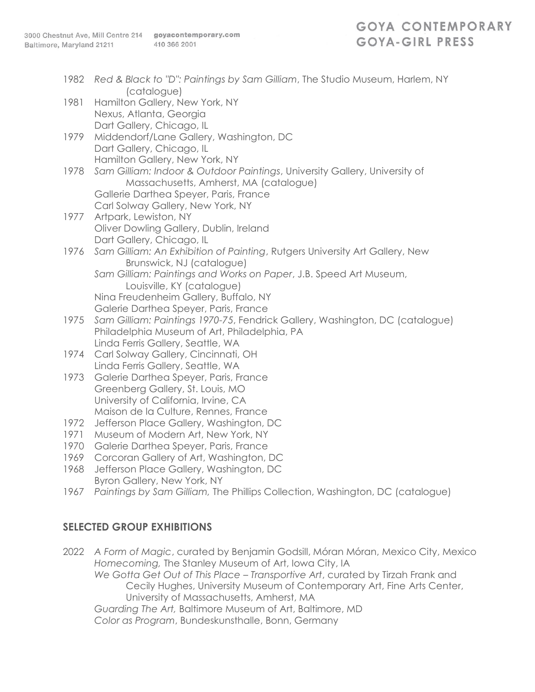- 1982 *Red & Black to "D": Paintings by Sam Gilliam*, The Studio Museum, Harlem, NY (catalogue)
- 1981 Hamilton Gallery, New York, NY Nexus, Atlanta, Georgia Dart Gallery, Chicago, IL
- 1979 Middendorf/Lane Gallery, Washington, DC Dart Gallery, Chicago, IL Hamilton Gallery, New York, NY
- 1978 *Sam Gilliam: Indoor & Outdoor Paintings*, University Gallery, University of Massachusetts, Amherst, MA (catalogue) Gallerie Darthea Speyer, Paris, France Carl Solway Gallery, New York, NY
- 1977 Artpark, Lewiston, NY Oliver Dowling Gallery, Dublin, Ireland Dart Gallery, Chicago, IL
- 1976 *Sam Gilliam: An Exhibition of Painting*, Rutgers University Art Gallery, New Brunswick, NJ (catalogue)
	- *Sam Gilliam: Paintings and Works on Paper*, J.B. Speed Art Museum, Louisville, KY (catalogue) Nina Freudenheim Gallery, Buffalo, NY
	- Galerie Darthea Speyer, Paris, France
- 1975 *Sam Gilliam: Paintings 1970-75*, Fendrick Gallery, Washington, DC (catalogue) Philadelphia Museum of Art, Philadelphia, PA Linda Ferris Gallery, Seattle, WA
- 1974 Carl Solway Gallery, Cincinnati, OH Linda Ferris Gallery, Seattle, WA
- 1973 Galerie Darthea Speyer, Paris, France Greenberg Gallery, St. Louis, MO University of California, Irvine, CA Maison de la Culture, Rennes, France
- 1972 Jefferson Place Gallery, Washington, DC
- 1971 Museum of Modern Art, New York, NY
- 1970 Galerie Darthea Speyer, Paris, France
- 1969 Corcoran Gallery of Art, Washington, DC
- 1968 Jefferson Place Gallery, Washington, DC Byron Gallery, New York, NY
- 1967 *Paintings by Sam Gilliam,* The Phillips Collection, Washington, DC (catalogue)

## **SELECTED GROUP EXHIBITIONS**

2022 *A Form of Magic*, curated by Benjamin Godsill, Móran Móran, Mexico City, Mexico *Homecoming,* The Stanley Museum of Art, Iowa City, IA *We Gotta Get Out of This Place – Transportive Art*, curated by Tirzah Frank and Cecily Hughes, University Museum of Contemporary Art, Fine Arts Center, University of Massachusetts, Amherst, MA *Guarding The Art,* Baltimore Museum of Art, Baltimore, MD *Color as Program*, Bundeskunsthalle, Bonn, Germany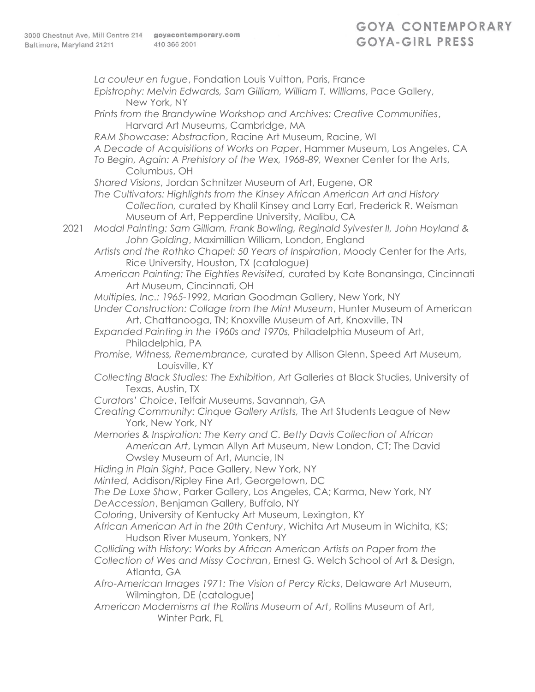*La couleur en fugue*, Fondation Louis Vuitton, Paris, France *Epistrophy: Melvin Edwards, Sam Gilliam, William T. Williams*, Pace Gallery, New York, NY *Prints from the Brandywine Workshop and Archives: Creative Communities*, Harvard Art Museums, Cambridge, MA *RAM Showcase: Abstraction*, Racine Art Museum, Racine, WI *A Decade of Acquisitions of Works on Paper*, Hammer Museum, Los Angeles, CA *To Begin, Again: A Prehistory of the Wex, 1968-89,* Wexner Center for the Arts, Columbus, OH *Shared Visions*, Jordan Schnitzer Museum of Art, Eugene, OR *The Cultivators: Highlights from the Kinsey African American Art and History Collection,* curated by Khalil Kinsey and Larry Earl, Frederick R. Weisman Museum of Art, Pepperdine University, Malibu, CA 2021 *Modal Painting: Sam Gilliam, Frank Bowling, Reginald Sylvester II, John Hoyland & John Golding*, Maximillian William, London, England *Artists and the Rothko Chapel: 50 Years of Inspiration*, Moody Center for the Arts, Rice University, Houston, TX (catalogue) *American Painting: The Eighties Revisited,* curated by Kate Bonansinga, Cincinnati Art Museum, Cincinnati, OH *Multiples, Inc.: 1965-1992*, Marian Goodman Gallery, New York, NY *Under Construction: Collage from the Mint Museum*, Hunter Museum of American Art, Chattanooga, TN; Knoxville Museum of Art, Knoxville, TN *Expanded Painting in the 1960s and 1970s,* Philadelphia Museum of Art, Philadelphia, PA *Promise, Witness, Remembrance,* curated by Allison Glenn, Speed Art Museum, Louisville, KY *Collecting Black Studies: The Exhibition*, Art Galleries at Black Studies, University of Texas, Austin, TX *Curators' Choice*, Telfair Museums, Savannah, GA *Creating Community: Cinque Gallery Artists,* The Art Students League of New York, New York, NY *Memories & Inspiration: The Kerry and C. Betty Davis Collection of African American Art*, Lyman Allyn Art Museum, New London, CT; The David Owsley Museum of Art, Muncie, IN *Hiding in Plain Sight*, Pace Gallery, New York, NY *Minted,* Addison/Ripley Fine Art, Georgetown, DC *The De Luxe Show*, Parker Gallery, Los Angeles, CA; Karma, New York, NY *DeAccession*, Benjaman Gallery, Buffalo, NY *Coloring*, University of Kentucky Art Museum, Lexington, KY *African American Art in the 20th Century*, Wichita Art Museum in Wichita, KS; Hudson River Museum, Yonkers, NY *Colliding with History: Works by African American Artists on Paper from the Collection of Wes and Missy Cochran*, Ernest G. Welch School of Art & Design, Atlanta, GA *Afro-American Images 1971: The Vision of Percy Ricks*, Delaware Art Museum, Wilmington, DE (catalogue) *American Modernisms at the Rollins Museum of Art*, Rollins Museum of Art, Winter Park, FL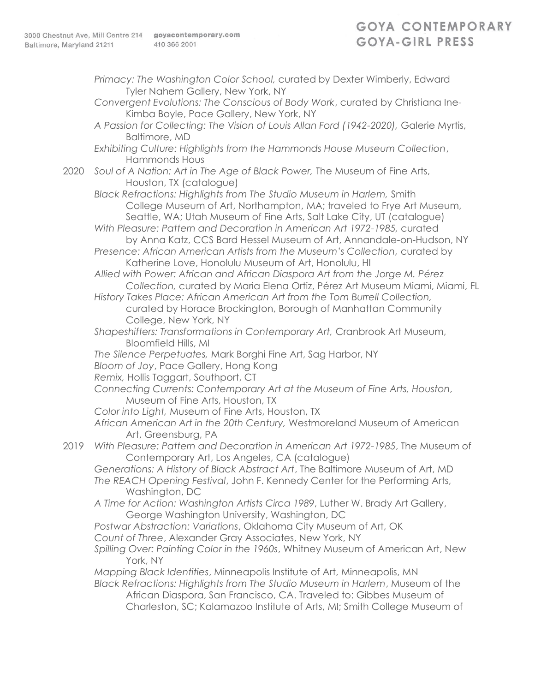- *Primacy: The Washington Color School,* curated by Dexter Wimberly, Edward Tyler Nahem Gallery, New York, NY
- *Convergent Evolutions: The Conscious of Body Work*, curated by Christiana Ine-Kimba Boyle, Pace Gallery, New York, NY
- *A Passion for Collecting: The Vision of Louis Allan Ford (1942-2020),* Galerie Myrtis, Baltimore, MD
- *Exhibiting Culture: Highlights from the Hammonds House Museum Collection*, Hammonds Hous
- 2020 *Soul of A Nation: Art in The Age of Black Power,* The Museum of Fine Arts, Houston, TX (catalogue)
	- *Black Refractions: Highlights from The Studio Museum in Harlem,* Smith College Museum of Art, Northampton, MA; traveled to Frye Art Museum, Seattle, WA; Utah Museum of Fine Arts, Salt Lake City, UT (catalogue)
	- *With Pleasure: Pattern and Decoration in American Art 1972-1985,* curated by Anna Katz, CCS Bard Hessel Museum of Art, Annandale-on-Hudson, NY
	- *Presence: African American Artists from the Museum's Collection,* curated by Katherine Love, Honolulu Museum of Art, Honolulu, HI
	- *Allied with Power: African and African Diaspora Art from the Jorge M. Pérez Collection,* curated by Maria Elena Ortiz, Pérez Art Museum Miami, Miami, FL
	- *History Takes Place: African American Art from the Tom Burrell Collection,*  curated by Horace Brockington, Borough of Manhattan Community College, New York, NY
	- *Shapeshifters: Transformations in Contemporary Art,* Cranbrook Art Museum, Bloomfield Hills, MI
	- *The Silence Perpetuates,* Mark Borghi Fine Art, Sag Harbor, NY
	- *Bloom of Joy*, Pace Gallery, Hong Kong
	- *Remix,* Hollis Taggart, Southport, CT
	- *Connecting Currents: Contemporary Art at the Museum of Fine Arts, Houston,*  Museum of Fine Arts, Houston, TX
	- *Color into Light,* Museum of Fine Arts, Houston, TX
	- *African American Art in the 20th Century,* Westmoreland Museum of American Art, Greensburg, PA
- 2019 *With Pleasure: Pattern and Decoration in American Art 1972-1985*, The Museum of Contemporary Art, Los Angeles, CA (catalogue)
	- *Generations: A History of Black Abstract Art*, The Baltimore Museum of Art, MD *The REACH Opening Festival*, John F. Kennedy Center for the Performing Arts, Washington, DC
	- *A Time for Action: Washington Artists Circa 1989*, Luther W. Brady Art Gallery, George Washington University, Washington, DC
	- *Postwar Abstraction: Variations*, Oklahoma City Museum of Art, OK
	- *Count of Three*, Alexander Gray Associates, New York, NY
	- *Spilling Over: Painting Color in the 1960s*, Whitney Museum of American Art, New York, NY
	- *Mapping Black Identities*, Minneapolis Institute of Art, Minneapolis, MN *Black Refractions: Highlights from The Studio Museum in Harlem*, Museum of the
		- African Diaspora, San Francisco, CA. Traveled to: Gibbes Museum of Charleston, SC; Kalamazoo Institute of Arts, MI; Smith College Museum of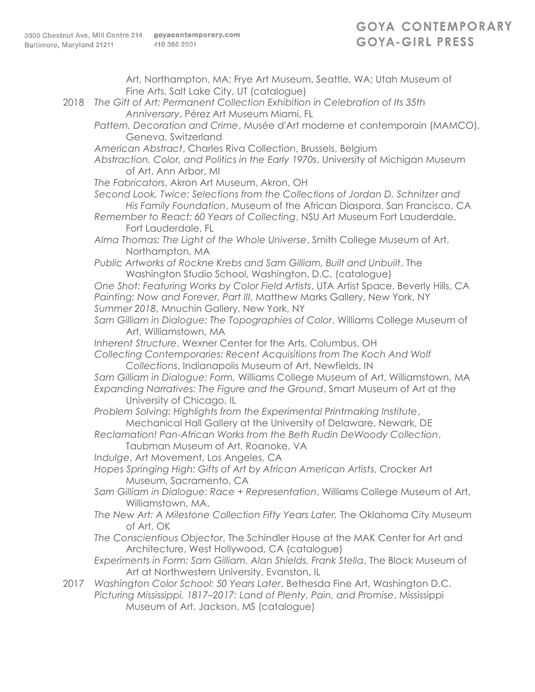Art, Northampton, MA; Frye Art Museum, Seattle, WA; Utah Museum of Fine Arts, Salt Lake City, UT (catalogue) 2018 *The Gift of Art: Permanent Collection Exhibition in Celebration of Its 35th Anniversary*, Pérez Art Museum Miami, FL *Pattern, Decoration and Crime*, Musée d'Art moderne et contemporain (MAMCO), Geneva, Switzerland *American Abstract*, Charles Riva Collection, Brussels, Belgium *Abstraction, Color, and Politics in the Early 1970s*, University of Michigan Museum of Art, Ann Arbor, MI *The Fabricators*, Akron Art Museum, Akron, OH *Second Look, Twice: Selections from the Collections of Jordan D. Schnitzer and His Family Foundation*, Museum of the African Diaspora, San Francisco, CA *Remember to React: 60 Years of Collecting*, NSU Art Museum Fort Lauderdale, Fort Lauderdale, FL *Alma Thomas: The Light of the Whole Universe*, Smith College Museum of Art, Northampton, MA *Public Artworks of Rockne Krebs and Sam Gilliam, Built and Unbuilt*, The Washington Studio School, Washington, D.C. (catalogue) *One Shot: Featuring Works by Color Field Artists*, UTA Artist Space, Beverly Hills, CA *Painting: Now and Forever, Part III*, Matthew Marks Gallery, New York, NY *Summer 2018*, Mnuchin Gallery, New York, NY *Sam Gilliam in Dialogue: The Topographies of Color*, Williams College Museum of Art, Williamstown, MA *Inherent Structure*, Wexner Center for the Arts, Columbus, OH *Collecting Contemporaries: Recent Acquisitions from The Koch And Wolf Collections*, Indianapolis Museum of Art, Newfields, IN *Sam Gilliam in Dialogue: Form,* Williams College Museum of Art, Williamstown, MA *Expanding Narratives: The Figure and the Ground*, Smart Museum of Art at the University of Chicago, IL *Problem Solving: Highlights from the Experimental Printmaking Institute*, Mechanical Hall Gallery at the University of Delaware, Newark, DE *Reclamation! Pan-African Works from the Beth Rudin DeWoody Collection*, Taubman Museum of Art, Roanoke, VA *Indulge*, Art Movement, Los Angeles, CA *Hopes Springing High: Gifts of Art by African American Artists*, Crocker Art Museum, Sacramento, CA *Sam Gilliam in Dialogue: Race + Representation*, Williams College Museum of Art, Williamstown, MA. *The New Art: A Milestone Collection Fifty Years Later,* The Oklahoma City Museum of Art, OK *The Conscientious Objector*, The Schindler House at the MAK Center for Art and Architecture, West Hollywood, CA (catalogue) *Experiments in Form: Sam Gilliam, Alan Shields, Frank Stella*, The Block Museum of Art at Northwestern University, Evanston, IL 2017 *Washington Color School: 50 Years Later*, Bethesda Fine Art, Washington D.C. *Picturing Mississippi, 1817–2017: Land of Plenty, Pain, and Promise*, Mississippi Museum of Art, Jackson, MS (catalogue)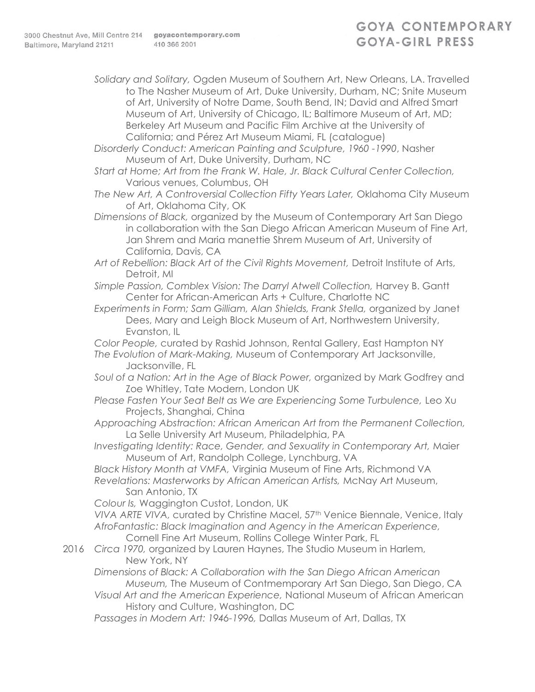*Solidary and Solitary,* Ogden Museum of Southern Art, New Orleans, LA. Travelled to The Nasher Museum of Art, Duke University, Durham, NC; Snite Museum of Art, University of Notre Dame, South Bend, IN; David and Alfred Smart Museum of Art, University of Chicago, IL; Baltimore Museum of Art, MD; Berkeley Art Museum and Pacific Film Archive at the University of California; and Pérez Art Museum Miami, FL (catalogue)

*Disorderly Conduct: American Painting and Sculpture, 1960 -1990*, Nasher Museum of Art, Duke University, Durham, NC

*Start at Home; Art from the Frank W. Hale, Jr. Black Cultural Center Collection,*  Various venues, Columbus, OH

*The New Art, A Controversial Collection Fifty Years Later,* Oklahoma City Museum of Art, Oklahoma City, OK

*Dimensions of Black,* organized by the Museum of Contemporary Art San Diego in collaboration with the San Diego African American Museum of Fine Art, Jan Shrem and Maria manettie Shrem Museum of Art, University of California, Davis, CA

*Art of Rebellion: Black Art of the Civil Rights Movement,* Detroit Institute of Arts, Detroit, MI

*Simple Passion, Comblex Vision: The Darryl Atwell Collection,* Harvey B. Gantt Center for African-American Arts + Culture, Charlotte NC

*Experiments in Form; Sam Gilliam, Alan Shields, Frank Stella,* organized by Janet Dees, Mary and Leigh Block Museum of Art, Northwestern University, Evanston, IL

*Color People,* curated by Rashid Johnson, Rental Gallery, East Hampton NY *The Evolution of Mark-Making,* Museum of Contemporary Art Jacksonville,

Jacksonville, FL

- *Soul of a Nation: Art in the Age of Black Power,* organized by Mark Godfrey and Zoe Whitley, Tate Modern, London UK
- *Please Fasten Your Seat Belt as We are Experiencing Some Turbulence,* Leo Xu Projects, Shanghai, China

*Approaching Abstraction: African American Art from the Permanent Collection,*  La Selle University Art Museum, Philadelphia, PA

*Investigating Identity: Race, Gender, and Sexuality in Contemporary Art,* Maier Museum of Art, Randolph College, Lynchburg, VA

*Black History Month at VMFA,* Virginia Museum of Fine Arts, Richmond VA *Revelations: Masterworks by African American Artists,* McNay Art Museum, San Antonio, TX

*Colour Is,* Waggington Custot, London, UK

*VIVA ARTE VIVA,* curated by Christine Macel, 57th Venice Biennale, Venice, Italy *AfroFantastic: Black Imagination and Agency in the American Experience,*  Cornell Fine Art Museum, Rollins College Winter Park, FL

2016 *Circa 1970,* organized by Lauren Haynes, The Studio Museum in Harlem, New York, NY

*Dimensions of Black: A Collaboration with the San Diego African American Museum,* The Museum of Contmemporary Art San Diego, San Diego, CA

*Visual Art and the American Experience,* National Museum of African American History and Culture, Washington, DC

*Passages in Modern Art: 1946-1996,* Dallas Museum of Art, Dallas, TX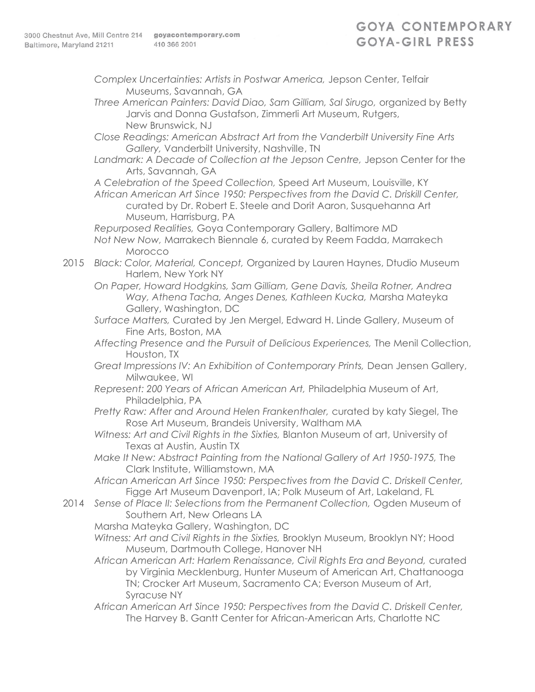- *Complex Uncertainties: Artists in Postwar America,* Jepson Center, Telfair Museums, Savannah, GA
- *Three American Painters: David Diao, Sam Gilliam, Sal Sirugo,* organized by Betty Jarvis and Donna Gustafson, Zimmerli Art Museum, Rutgers, New Brunswick, NJ
- *Close Readings: American Abstract Art from the Vanderbilt University Fine Arts Gallery,* Vanderbilt University, Nashville, TN
- Landmark: A Decade of Collection at the Jepson Centre, Jepson Center for the Arts, Savannah, GA

*A Celebration of the Speed Collection,* Speed Art Museum, Louisville, KY

*African American Art Since 1950: Perspectives from the David C. Driskill Center,*  curated by Dr. Robert E. Steele and Dorit Aaron, Susquehanna Art Museum, Harrisburg, PA

*Repurposed Realities,* Goya Contemporary Gallery, Baltimore MD *Not New Now,* Marrakech Biennale 6, curated by Reem Fadda, Marrakech Morocco

- 2015 *Black: Color, Material, Concept,* Organized by Lauren Haynes, Dtudio Museum Harlem, New York NY
	- *On Paper, Howard Hodgkins, Sam Gilliam, Gene Davis, Sheila Rotner, Andrea Way, Athena Tacha, Anges Denes, Kathleen Kucka,* Marsha Mateyka Gallery, Washington, DC
	- *Surface Matters,* Curated by Jen Mergel, Edward H. Linde Gallery, Museum of Fine Arts, Boston, MA
	- *Affecting Presence and the Pursuit of Delicious Experiences,* The Menil Collection, Houston, TX
	- *Great Impressions IV: An Exhibition of Contemporary Prints,* Dean Jensen Gallery, Milwaukee, WI
	- *Represent: 200 Years of African American Art,* Philadelphia Museum of Art, Philadelphia, PA
	- *Pretty Raw: After and Around Helen Frankenthaler,* curated by katy Siegel, The Rose Art Museum, Brandeis University, Waltham MA
	- *Witness: Art and Civil Rights in the Sixties,* Blanton Museum of art, University of Texas at Austin, Austin TX
	- *Make It New: Abstract Painting from the National Gallery of Art 1950-1975,* The Clark Institute, Williamstown, MA
	- *African American Art Since 1950: Perspectives from the David C. Driskell Center,*  Figge Art Museum Davenport, IA; Polk Museum of Art, Lakeland, FL
- 2014 *Sense of Place II: Selections from the Permanent Collection,* Ogden Museum of Southern Art, New Orleans LA
	- Marsha Mateyka Gallery, Washington, DC
	- *Witness: Art and Civil Rights in the Sixties,* Brooklyn Museum, Brooklyn NY; Hood Museum, Dartmouth College, Hanover NH
	- *African American Art: Harlem Renaissance, Civil Rights Era and Beyond,* curated by Virginia Mecklenburg, Hunter Museum of American Art, Chattanooga TN; Crocker Art Museum, Sacramento CA; Everson Museum of Art, Syracuse NY
	- *African American Art Since 1950: Perspectives from the David C. Driskell Center,*  The Harvey B. Gantt Center for African-American Arts, Charlotte NC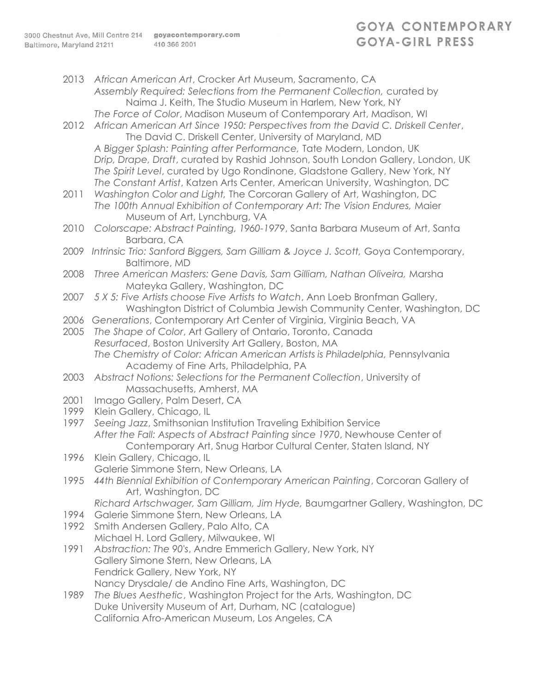# **GOYA CONTEMPORARY** GOYA-GIRL PRESS

2013 *African American Art*, Crocker Art Museum, Sacramento, CA *Assembly Required: Selections from the Permanent Collection,* curated by Naima J. Keith, The Studio Museum in Harlem, New York, NY *The Force of Color*, Madison Museum of Contemporary Art, Madison, WI 2012 *African American Art Since 1950: Perspectives from the David C. Driskell Center*, The David C. Driskell Center, University of Maryland, MD *A Bigger Splash: Painting after Performance,* Tate Modern, London, UK *Drip, Drape, Draft*, curated by Rashid Johnson, South London Gallery, London, UK *The Spirit Level*, curated by Ugo Rondinone, Gladstone Gallery, New York, NY *The Constant Artist*, Katzen Arts Center, American University, Washington, DC 2011 *Washington Color and Light,* The Corcoran Gallery of Art, Washington, DC *The 100th Annual Exhibition of Contemporary Art: The Vision Endures,* Maier Museum of Art, Lynchburg, VA 2010 *Colorscape: Abstract Painting, 1960-1979*, Santa Barbara Museum of Art, Santa Barbara, CA 2009 *Intrinsic Trio: Sanford Biggers, Sam Gilliam & Joyce J. Scott,* Goya Contemporary, Baltimore, MD 2008 *Three American Masters: Gene Davis, Sam Gilliam, Nathan Oliveira,* Marsha Mateyka Gallery, Washington, DC 2007 *5 X 5: Five Artists choose Five Artists to Watch*, Ann Loeb Bronfman Gallery, Washington District of Columbia Jewish Community Center, Washington, DC 2006 *Generations*, Contemporary Art Center of Virginia, Virginia Beach, VA 2005 *The Shape of Color*, Art Gallery of Ontario, Toronto, Canada *Resurfaced*, Boston University Art Gallery, Boston, MA *The Chemistry of Color: African American Artists is Philadelphia,* Pennsylvania Academy of Fine Arts, Philadelphia, PA 2003 *Abstract Notions: Selections for the Permanent Collection*, University of Massachusetts, Amherst, MA 2001 Imago Gallery, Palm Desert, CA 1999 Klein Gallery, Chicago, IL 1997 *Seeing Jazz*, Smithsonian Institution Traveling Exhibition Service *After the Fall: Aspects of Abstract Painting since 1970*, Newhouse Center of Contemporary Art, Snug Harbor Cultural Center, Staten Island, NY 1996 Klein Gallery, Chicago, IL Galerie Simmone Stern, New Orleans, LA 1995 *44th Biennial Exhibition of Contemporary American Painting*, Corcoran Gallery of Art, Washington, DC *Richard Artschwager, Sam Gilliam, Jim Hyde,* Baumgartner Gallery, Washington, DC 1994 Galerie Simmone Stern, New Orleans, LA 1992 Smith Andersen Gallery, Palo Alto, CA Michael H. Lord Gallery, Milwaukee, WI 1991 *Abstraction: The 90's*, Andre Emmerich Gallery, New York, NY Gallery Simone Stern, New Orleans, LA Fendrick Gallery, New York, NY Nancy Drysdale/ de Andino Fine Arts, Washington, DC 1989 *The Blues Aesthetic*, Washington Project for the Arts, Washington, DC Duke University Museum of Art, Durham, NC (catalogue)

California Afro-American Museum, Los Angeles, CA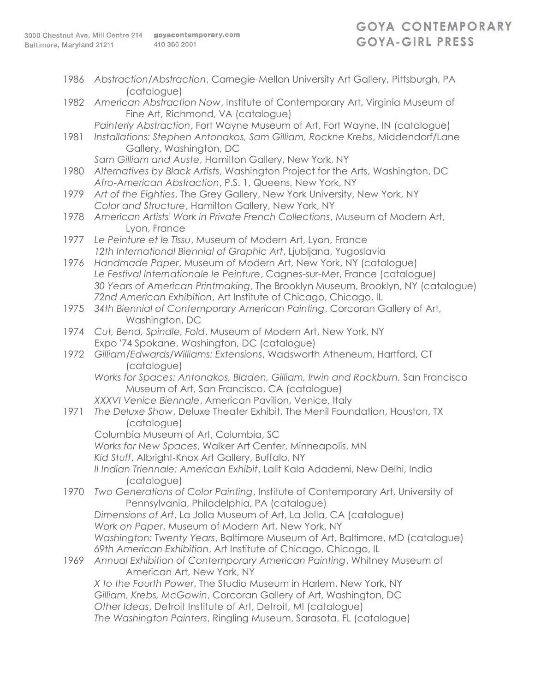| 1986 | Abstraction/Abstraction, Carnegie-Mellon University Art Gallery, Pittsburgh, PA<br>(catalogue)                                               |
|------|----------------------------------------------------------------------------------------------------------------------------------------------|
| 1982 | American Abstraction Now, Institute of Contemporary Art, Virginia Museum of<br>Fine Art, Richmond, VA (catalogue)                            |
|      | Painterly Abstraction, Fort Wayne Museum of Art, Fort Wayne, IN (catalogue)                                                                  |
| 1981 | Installations: Stephen Antonakos, Sam Gilliam, Rockne Krebs, Middendorf/Lane                                                                 |
|      | Gallery, Washington, DC                                                                                                                      |
|      | Sam Gilliam and Auste, Hamilton Gallery, New York, NY                                                                                        |
| 1980 | Alternatives by Black Artists, Washington Project for the Arts, Washington, DC<br>Afro-American Abstraction, P.S. 1, Queens, New York, NY    |
| 1979 | Art of the Eighties, The Grey Gallery, New York University, New York, NY                                                                     |
|      | Color and Structure, Hamilton Gallery, New York, NY                                                                                          |
| 1978 | American Artists' Work in Private French Collections, Museum of Modern Art,<br>Lyon, France                                                  |
| 1977 | Le Peinture et le Tissu, Museum of Modern Art, Lyon, France                                                                                  |
|      | 12th International Biennial of Graphic Art, Ljubljana, Yugoslavia                                                                            |
| 1976 | Handmade Paper, Museum of Modern Art, New York, NY (catalogue)                                                                               |
|      | Le Festival Internationale le Peinture, Cagnes-sur-Mer, France (catalogue)                                                                   |
|      | 30 Years of American Printmaking, The Brooklyn Museum, Brooklyn, NY (catalogue)                                                              |
| 1975 | 72nd American Exhibition, Art Institute of Chicago, Chicago, IL<br>34th Biennial of Contemporary American Painting, Corcoran Gallery of Art, |
|      | Washington, DC                                                                                                                               |
| 1974 | Cut, Bend, Spindle, Fold, Museum of Modern Art, New York, NY                                                                                 |
|      | Expo '74 Spokane, Washington, DC (catalogue)                                                                                                 |
| 1972 | Gilliam/Edwards/Williams: Extensions, Wadsworth Atheneum, Hartford, CT<br>(catalogue)                                                        |
|      | Works for Spaces: Antonakos, Bladen, Gilliam, Irwin and Rockburn, San Francisco                                                              |
|      | Museum of Art, San Francisco, CA (catalogue)                                                                                                 |
|      | XXXVI Venice Biennale, American Pavilion, Venice, Italy                                                                                      |
| 1971 | The Deluxe Show, Deluxe Theater Exhibit, The Menil Foundation, Houston, TX<br>(catalogue)                                                    |
|      | Columbia Museum of Art, Columbia, SC                                                                                                         |
|      | Works for New Spaces, Walker Art Center, Minneapolis, MN                                                                                     |
|      | Kid Stuff, Albright-Knox Art Gallery, Buffalo, NY                                                                                            |
|      | II Indian Triennale: American Exhibit, Lalit Kala Adademi, New Delhi, India                                                                  |
|      | (catalogue)                                                                                                                                  |
| 1970 | Two Generations of Color Painting, Institute of Contemporary Art, University of<br>Pennsylvania, Philadelphia, PA (catalogue)                |
|      | Dimensions of Art, La Jolla Museum of Art, La Jolla, CA (catalogue)                                                                          |
|      | Work on Paper, Museum of Modern Art, New York, NY                                                                                            |
|      | Washington: Twenty Years, Baltimore Museum of Art, Baltimore, MD (catalogue)                                                                 |
|      | 69th American Exhibition, Art Institute of Chicago, Chicago, IL                                                                              |
| 1969 | Annual Exhibition of Contemporary American Painting, Whitney Museum of<br>American Art, New York, NY                                         |
|      | X to the Fourth Power, The Studio Museum in Harlem, New York, NY                                                                             |
|      | Gilliam, Krebs, McGowin, Corcoran Gallery of Art, Washington, DC                                                                             |
|      | Other Ideas, Detroit Institute of Art, Detroit, MI (catalogue)                                                                               |
|      | The Washington Painters, Ringling Museum, Sarasota, FL (catalogue)                                                                           |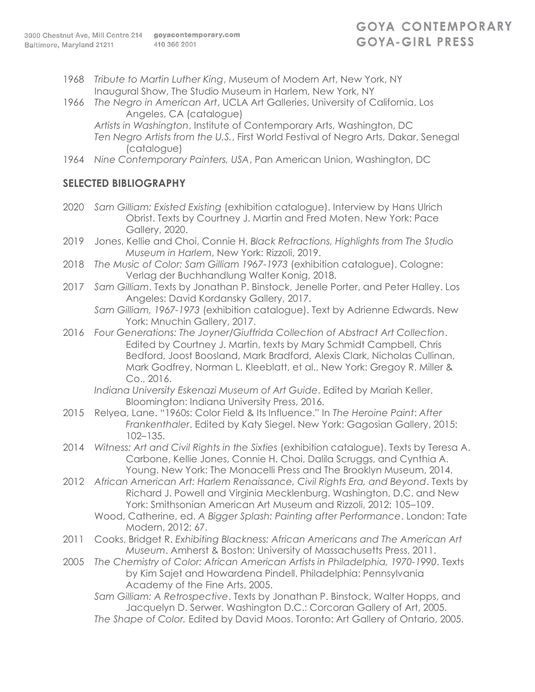- 1968 *Tribute to Martin Luther King*, Museum of Modern Art, New York, NY Inaugural Show, The Studio Museum in Harlem, New York, NY
- 1966 *The Negro in American Art*, UCLA Art Galleries, University of California, Los Angeles, CA (catalogue)
	- *Artists in Washington*, Institute of Contemporary Arts, Washington, DC *Ten Negro Artists from the U.S.*, First World Festival of Negro Arts, Dakar, Senegal (catalogue)
- 1964 *Nine Contemporary Painters, USA*, Pan American Union, Washington, DC

#### **SELECTED BIBLIOGRAPHY**

- 2020 *Sam Gilliam: Existed Existing* (exhibition catalogue). Interview by Hans Ulrich Obrist. Texts by Courtney J. Martin and Fred Moten. New York: Pace Gallery, 2020.
- 2019 Jones, Kellie and Choi, Connie H. *Black Refractions, Highlights from The Studio Museum in Harlem*, New York: Rizzoli, 2019.
- 2018 *The Music of Color: Sam Gilliam 1967-1973* (exhibition catalogue). Cologne: Verlag der Buchhandlung Walter Konig, 2018.
- 2017 *Sam Gilliam*. Texts by Jonathan P. Binstock, Jenelle Porter, and Peter Halley. Los Angeles: David Kordansky Gallery, 2017.
	- *Sam Gilliam, 1967-1973* (exhibition catalogue). Text by Adrienne Edwards. New York: Mnuchin Gallery, 2017.
- 2016 *Four Generations: The Joyner/Giuffrida Collection of Abstract Art Collection*. Edited by Courtney J. Martin, texts by Mary Schmidt Campbell, Chris Bedford, Joost Boosland, Mark Bradford, Alexis Clark, Nicholas Cullinan, Mark Godfrey, Norman L. Kleeblatt, et al., New York: Gregoy R. Miller & Co., 2016.
	- *Indiana University Eskenazi Museum of Art Guide*. Edited by Mariah Keller. Bloomington: Indiana University Press, 2016.
- 2015 Relyea, Lane. "1960s: Color Field & Its Influence." In *The Heroine Paint*: *After Frankenthaler*. Edited by Katy Siegel. New York: Gagosian Gallery, 2015: 102–135.
- 2014 *Witness: Art and Civil Rights in the Sixties* (exhibition catalogue). Texts by Teresa A. Carbone, Kellie Jones, Connie H. Choi, Dalila Scruggs, and Cynthia A. Young. New York: The Monacelli Press and The Brooklyn Museum, 2014.
- 2012 *African American Art: Harlem Renaissance, Civil Rights Era, and Beyond*. Texts by Richard J. Powell and Virginia Mecklenburg. Washington, D.C. and New York: Smithsonian American Art Museum and Rizzoli, 2012: 105–109.
	- Wood, Catherine, ed. *A Bigger Splash: Painting after Performance*. London: Tate Modern, 2012: 67.
- 2011 Cooks, Bridget R. *Exhibiting Blackness: African Americans and The American Art Museum*. Amherst & Boston: University of Massachusetts Press, 2011.
- 2005 *The Chemistry of Color: African American Artists in Philadelphia, 1970-1990*. Texts by Kim Sajet and Howardena Pindell. Philadelphia: Pennsylvania Academy of the Fine Arts, 2005.
	- *Sam Gilliam: A Retrospective*. Texts by Jonathan P. Binstock, Walter Hopps, and Jacquelyn D. Serwer. Washington D.C.: Corcoran Gallery of Art, 2005.
	- *The Shape of Color.* Edited by David Moos. Toronto: Art Gallery of Ontario, 2005.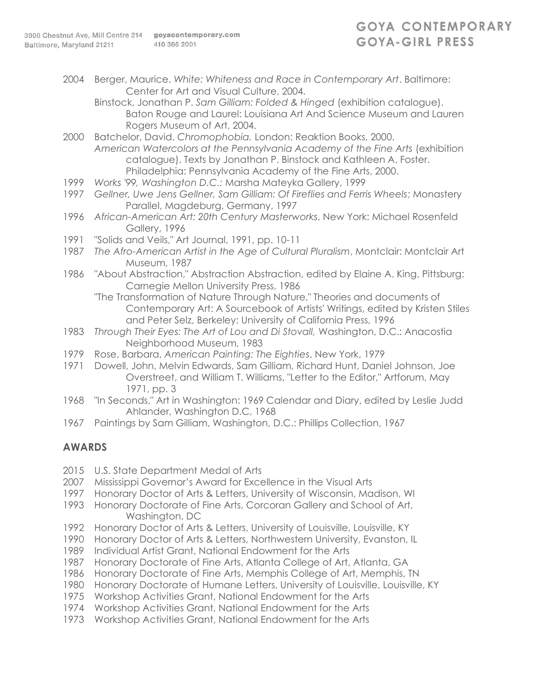2004 Berger, Maurice. *White: Whiteness and Race in Contemporary Art*. Baltimore: Center for Art and Visual Culture, 2004.

Binstock, Jonathan P. *Sam Gilliam: Folded & Hinged* (exhibition catalogue). Baton Rouge and Laurel: Louisiana Art And Science Museum and Lauren Rogers Museum of Art, 2004.

- 2000 Batchelor, David. *Chromophobia.* London: Reaktion Books, 2000. *American Watercolors at the Pennsylvania Academy of the Fine Arts* (exhibition catalogue). Texts by Jonathan P. Binstock and Kathleen A. Foster. Philadelphia: Pennsylvania Academy of the Fine Arts, 2000.
- 1999 *Works '99, Washington D.C.:* Marsha Mateyka Gallery, 1999
- 1997 *Gellner, Uwe Jens Gellner, Sam Gilliam: Of Fireflies and Ferris Wheels*; Monastery Parallel, Magdeburg, Germany, 1997
- 1996 *African-American Art: 20th Century Masterworks*, New York: Michael Rosenfeld Gallery, 1996
- 1991 "Solids and Veils," Art Journal, 1991, pp. 10-11
- 1987 *The Afro-American Artist in the Age of Cultural Pluralism*, Montclair: Montclair Art Museum, 1987
- 1986 "About Abstraction," Abstraction Abstraction, edited by Elaine A. King, Pittsburg: Carnegie Mellon University Press, 1986
	- "The Transformation of Nature Through Nature," Theories and documents of Contemporary Art: A Sourcebook of Artists' Writings, edited by Kristen Stiles and Peter Selz, Berkeley: University of California Press, 1996
- 1983 *Through Their Eyes: The Art of Lou and Di Stovall,* Washington, D.C.: Anacostia Neighborhood Museum, 1983
- 1979 Rose, Barbara, *American Painting: The Eighties*, New York, 1979
- 1971 Dowell, John, Melvin Edwards, Sam Gilliam, Richard Hunt, Daniel Johnson, Joe Overstreet, and William T. Williams, "Letter to the Editor," Artforum, May 1971, pp. 3
- 1968 "In Seconds," Art in Washington: 1969 Calendar and Diary, edited by Leslie Judd Ahlander, Washington D.C, 1968
- 1967 Paintings by Sam Gilliam, Washington, D.C.: Phillips Collection, 1967

#### **AWARDS**

- 2015 U.S. State Department Medal of Arts
- 2007 Mississippi Governor's Award for Excellence in the Visual Arts
- 1997 Honorary Doctor of Arts & Letters, University of Wisconsin, Madison, WI
- 1993 Honorary Doctorate of Fine Arts, Corcoran Gallery and School of Art, Washington, DC
- 1992 Honorary Doctor of Arts & Letters, University of Louisville, Louisville, KY
- 1990 Honorary Doctor of Arts & Letters, Northwestern University, Evanston, IL
- 1989 Individual Artist Grant, National Endowment for the Arts
- 1987 Honorary Doctorate of Fine Arts, Atlanta College of Art, Atlanta, GA
- 1986 Honorary Doctorate of Fine Arts, Memphis College of Art, Memphis, TN
- 1980 Honorary Doctorate of Humane Letters, University of Louisville, Louisville, KY
- 1975 Workshop Activities Grant, National Endowment for the Arts
- 1974 Workshop Activities Grant, National Endowment for the Arts
- 1973 Workshop Activities Grant, National Endowment for the Arts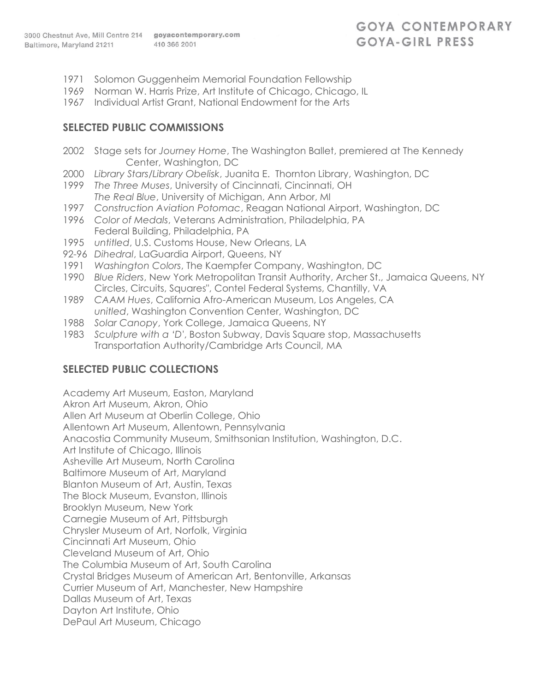- 1971 Solomon Guggenheim Memorial Foundation Fellowship
- 1969 Norman W. Harris Prize, Art Institute of Chicago, Chicago, IL
- 1967 Individual Artist Grant, National Endowment for the Arts

#### **SELECTED PUBLIC COMMISSIONS**

- 2002 Stage sets for *Journey Home*, The Washington Ballet, premiered at The Kennedy Center, Washington, DC
- 2000 *Library Stars/Library Obelisk*, Juanita E. Thornton Library, Washington, DC
- 1999 *The Three Muses*, University of Cincinnati, Cincinnati, OH *The Real Blue*, University of Michigan, Ann Arbor, MI
- 1997 *Construction Aviation Potomac*, Reagan National Airport, Washington, DC
- 1996 *Color of Medals*, Veterans Administration, Philadelphia, PA Federal Building, Philadelphia, PA
- 1995 *untitled*, U.S. Customs House, New Orleans, LA
- 92-96 *Dihedral*, LaGuardia Airport, Queens, NY
- 1991 *Washington Colors*, The Kaempfer Company, Washington, DC
- 1990 *Blue Riders*, New York Metropolitan Transit Authority, Archer St., Jamaica Queens, NY Circles, Circuits, Squares", Contel Federal Systems, Chantilly, VA
- 1989 *CAAM Hues*, California Afro-American Museum, Los Angeles, CA *unitled*, Washington Convention Center, Washington, DC
- 1988 *Solar Canopy*, York College, Jamaica Queens, NY
- 1983 *Sculpture with a 'D'*, Boston Subway, Davis Square stop, Massachusetts Transportation Authority/Cambridge Arts Council, MA

## **SELECTED PUBLIC COLLECTIONS**

Academy Art Museum, Easton, Maryland Akron Art Museum, Akron, Ohio Allen Art Museum at Oberlin College, Ohio Allentown Art Museum, Allentown, Pennsylvania Anacostia Community Museum, Smithsonian Institution, Washington, D.C. Art Institute of Chicago, Illinois Asheville Art Museum, North Carolina Baltimore Museum of Art, Maryland Blanton Museum of Art, Austin, Texas The Block Museum, Evanston, Illinois Brooklyn Museum, New York Carnegie Museum of Art, Pittsburgh Chrysler Museum of Art, Norfolk, Virginia Cincinnati Art Museum, Ohio Cleveland Museum of Art, Ohio The Columbia Museum of Art, South Carolina Crystal Bridges Museum of American Art, Bentonville, Arkansas Currier Museum of Art, Manchester, New Hampshire Dallas Museum of Art, Texas Dayton Art Institute, Ohio DePaul Art Museum, Chicago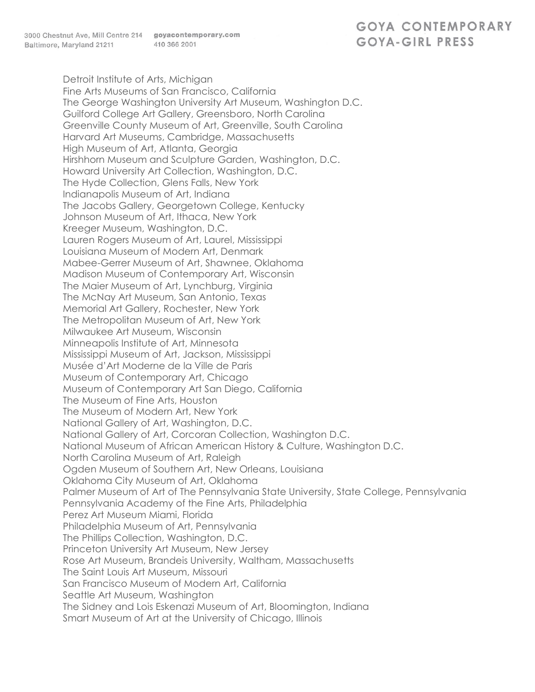# **GOYA CONTEMPORARY** GOYA-GIRL PRESS

Detroit Institute of Arts, Michigan Fine Arts Museums of San Francisco, California The George Washington University Art Museum, Washington D.C. Guilford College Art Gallery, Greensboro, North Carolina Greenville County Museum of Art, Greenville, South Carolina Harvard Art Museums, Cambridge, Massachusetts High Museum of Art, Atlanta, Georgia Hirshhorn Museum and Sculpture Garden, Washington, D.C. Howard University Art Collection, Washington, D.C. The Hyde Collection, Glens Falls, New York Indianapolis Museum of Art, Indiana The Jacobs Gallery, Georgetown College, Kentucky Johnson Museum of Art, Ithaca, New York Kreeger Museum, Washington, D.C. Lauren Rogers Museum of Art, Laurel, Mississippi Louisiana Museum of Modern Art, Denmark Mabee-Gerrer Museum of Art, Shawnee, Oklahoma Madison Museum of Contemporary Art, Wisconsin The Maier Museum of Art, Lynchburg, Virginia The McNay Art Museum, San Antonio, Texas Memorial Art Gallery, Rochester, New York The Metropolitan Museum of Art, New York Milwaukee Art Museum, Wisconsin Minneapolis Institute of Art, Minnesota Mississippi Museum of Art, Jackson, Mississippi Musée d'Art Moderne de la Ville de Paris Museum of Contemporary Art, Chicago Museum of Contemporary Art San Diego, California The Museum of Fine Arts, Houston The Museum of Modern Art, New York National Gallery of Art, Washington, D.C. National Gallery of Art, Corcoran Collection, Washington D.C. National Museum of African American History & Culture, Washington D.C. North Carolina Museum of Art, Raleigh Ogden Museum of Southern Art, New Orleans, Louisiana Oklahoma City Museum of Art, Oklahoma Palmer Museum of Art of The Pennsylvania State University, State College, Pennsylvania Pennsylvania Academy of the Fine Arts, Philadelphia Perez Art Museum Miami, Florida Philadelphia Museum of Art, Pennsylvania The Phillips Collection, Washington, D.C. Princeton University Art Museum, New Jersey Rose Art Museum, Brandeis University, Waltham, Massachusetts The Saint Louis Art Museum, Missouri San Francisco Museum of Modern Art, California Seattle Art Museum, Washington The Sidney and Lois Eskenazi Museum of Art, Bloomington, Indiana Smart Museum of Art at the University of Chicago, Illinois